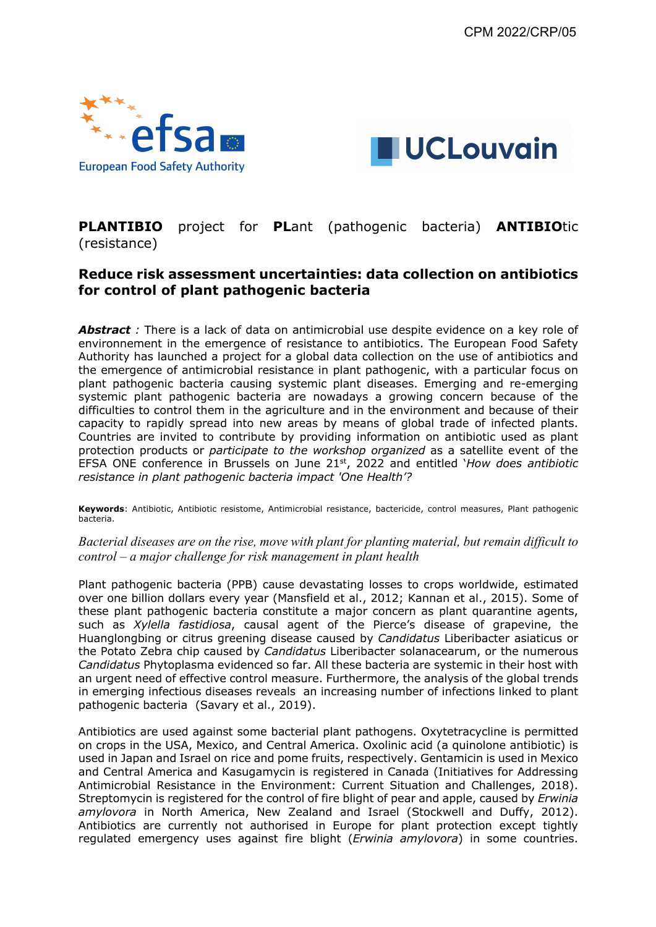



# **PLANTIBIO** project for **PL**ant (pathogenic bacteria) **ANTIBIO**tic (resistance)

# **Reduce risk assessment uncertainties: data collection on antibiotics for control of plant pathogenic bacteria**

Abstract *:* There is a lack of data on antimicrobial use despite evidence on a key role of environnement in the emergence of resistance to antibiotics. The European Food Safety Authority has launched a project for a global data collection on the use of antibiotics and the emergence of antimicrobial resistance in plant pathogenic, with a particular focus on plant pathogenic bacteria causing systemic plant diseases. Emerging and re-emerging systemic plant pathogenic bacteria are nowadays a growing concern because of the difficulties to control them in the agriculture and in the environment and because of their capacity to rapidly spread into new areas by means of global trade of infected plants. Countries are invited to contribute by providing information on antibiotic used as plant protection products or *participate to the workshop organized* as a satellite event of the EFSA ONE conference in Brussels on June 21st, 2022 and entitled '*How does antibiotic resistance in plant pathogenic bacteria impact 'One Health'?* 

**Keywords**: Antibiotic, Antibiotic resistome, Antimicrobial resistance, bactericide, control measures, Plant pathogenic bacteria.

## *Bacterial diseases are on the rise, move with plant for planting material, but remain difficult to control – a major challenge for risk management in plant health*

Plant pathogenic bacteria (PPB) cause devastating losses to crops worldwide, estimated over one billion dollars every year (Mansfield et al., 2012; Kannan et al., 2015). Some of these plant pathogenic bacteria constitute a major concern as plant quarantine agents, such as *Xylella fastidiosa*, causal agent of the Pierce's disease of grapevine, the Huanglongbing or citrus greening disease caused by *Candidatus* Liberibacter asiaticus or the Potato Zebra chip caused by *Candidatus* Liberibacter solanacearum, or the numerous *Candidatus* Phytoplasma evidenced so far. All these bacteria are systemic in their host with an urgent need of effective control measure. Furthermore, the analysis of the global trends in emerging infectious diseases reveals an increasing number of infections linked to plant pathogenic bacteria (Savary et al., 2019).

Antibiotics are used against some bacterial plant pathogens. Oxytetracycline is permitted on crops in the USA, Mexico, and Central America. Oxolinic acid (a quinolone antibiotic) is used in Japan and Israel on rice and pome fruits, respectively. Gentamicin is used in Mexico and Central America and Kasugamycin is registered in Canada (Initiatives for Addressing Antimicrobial Resistance in the Environment: Current Situation and Challenges, 2018). Streptomycin is registered for the control of fire blight of pear and apple, caused by *Erwinia amylovora* in North America, New Zealand and Israel (Stockwell and Duffy, 2012). Antibiotics are currently not authorised in Europe for plant protection except tightly regulated emergency uses against fire blight (*Erwinia amylovora*) in some countries.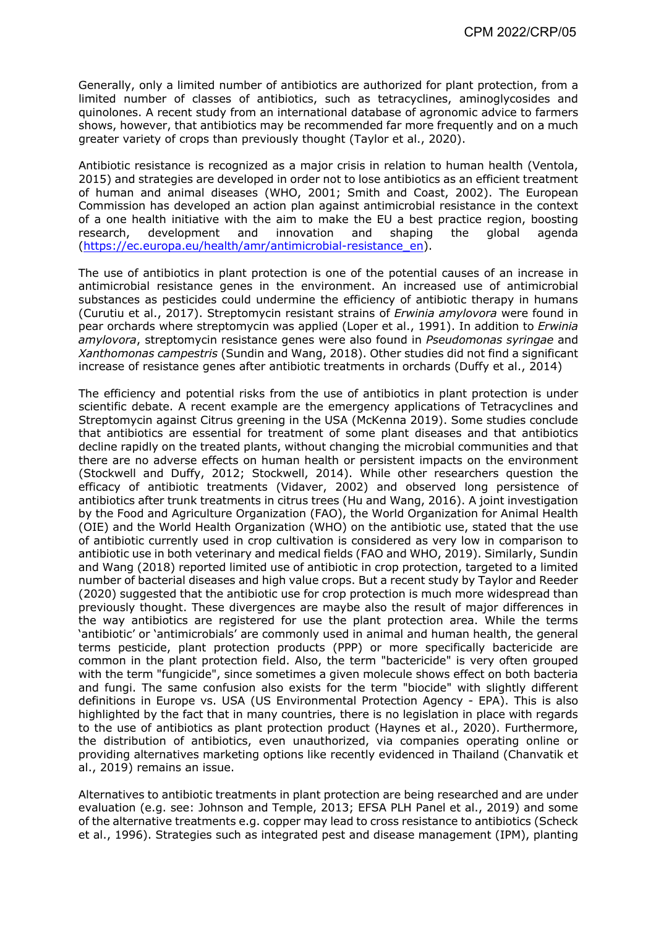Generally, only a limited number of antibiotics are authorized for plant protection, from a limited number of classes of antibiotics, such as tetracyclines, aminoglycosides and quinolones. A recent study from an international database of agronomic advice to farmers shows, however, that antibiotics may be recommended far more frequently and on a much greater variety of crops than previously thought (Taylor et al., 2020).

Antibiotic resistance is recognized as a major crisis in relation to human health (Ventola, 2015) and strategies are developed in order not to lose antibiotics as an efficient treatment of human and animal diseases (WHO, 2001; Smith and Coast, 2002). The European Commission has developed an action plan against antimicrobial resistance in the context of a one health initiative with the aim to make the EU a best practice region, boosting research, development and innovation and shaping the global agenda (https://ec.europa.eu/health/amr/antimicrobial-resistance\_en).

The use of antibiotics in plant protection is one of the potential causes of an increase in antimicrobial resistance genes in the environment. An increased use of antimicrobial substances as pesticides could undermine the efficiency of antibiotic therapy in humans (Curutiu et al., 2017). Streptomycin resistant strains of *Erwinia amylovora* were found in pear orchards where streptomycin was applied (Loper et al., 1991). In addition to *Erwinia amylovora*, streptomycin resistance genes were also found in *Pseudomonas syringae* and *Xanthomonas campestris* (Sundin and Wang, 2018). Other studies did not find a significant increase of resistance genes after antibiotic treatments in orchards (Duffy et al., 2014)

The efficiency and potential risks from the use of antibiotics in plant protection is under scientific debate. A recent example are the emergency applications of Tetracyclines and Streptomycin against Citrus greening in the USA (McKenna 2019). Some studies conclude that antibiotics are essential for treatment of some plant diseases and that antibiotics decline rapidly on the treated plants, without changing the microbial communities and that there are no adverse effects on human health or persistent impacts on the environment (Stockwell and Duffy, 2012; Stockwell, 2014). While other researchers question the efficacy of antibiotic treatments (Vidaver, 2002) and observed long persistence of antibiotics after trunk treatments in citrus trees (Hu and Wang, 2016). A joint investigation by the Food and Agriculture Organization (FAO), the World Organization for Animal Health (OIE) and the World Health Organization (WHO) on the antibiotic use, stated that the use of antibiotic currently used in crop cultivation is considered as very low in comparison to antibiotic use in both veterinary and medical fields (FAO and WHO, 2019). Similarly, Sundin and Wang (2018) reported limited use of antibiotic in crop protection, targeted to a limited number of bacterial diseases and high value crops. But a recent study by Taylor and Reeder (2020) suggested that the antibiotic use for crop protection is much more widespread than previously thought. These divergences are maybe also the result of major differences in the way antibiotics are registered for use the plant protection area. While the terms 'antibiotic' or 'antimicrobials' are commonly used in animal and human health, the general terms pesticide, plant protection products (PPP) or more specifically bactericide are common in the plant protection field. Also, the term "bactericide" is very often grouped with the term "fungicide", since sometimes a given molecule shows effect on both bacteria and fungi. The same confusion also exists for the term "biocide" with slightly different definitions in Europe vs. USA (US Environmental Protection Agency - EPA). This is also highlighted by the fact that in many countries, there is no legislation in place with regards to the use of antibiotics as plant protection product (Haynes et al., 2020). Furthermore, the distribution of antibiotics, even unauthorized, via companies operating online or providing alternatives marketing options like recently evidenced in Thailand (Chanvatik et al., 2019) remains an issue.

Alternatives to antibiotic treatments in plant protection are being researched and are under evaluation (e.g. see: Johnson and Temple, 2013; EFSA PLH Panel et al., 2019) and some of the alternative treatments e.g. copper may lead to cross resistance to antibiotics (Scheck et al., 1996). Strategies such as integrated pest and disease management (IPM), planting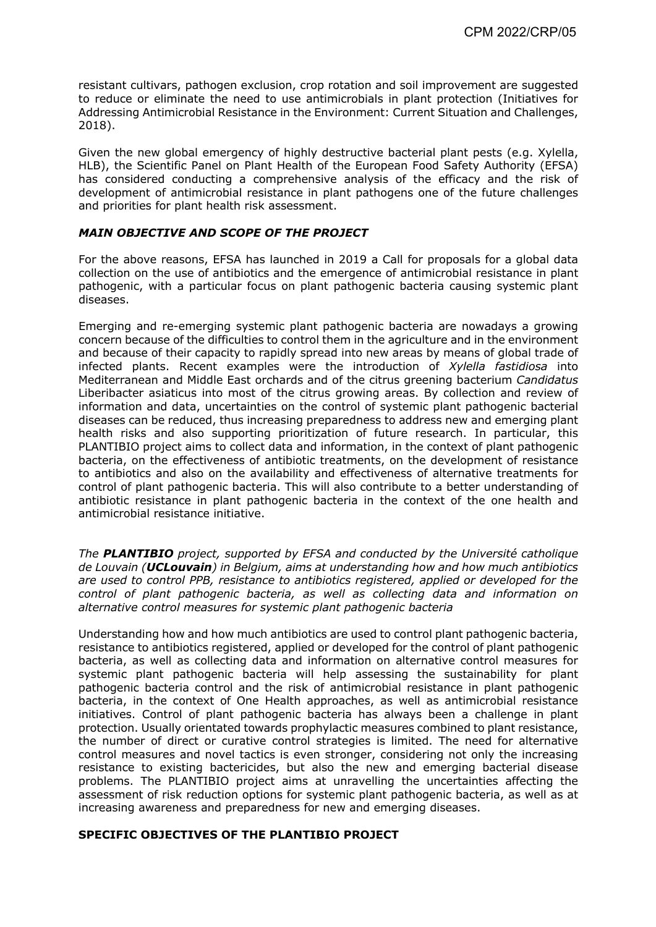resistant cultivars, pathogen exclusion, crop rotation and soil improvement are suggested to reduce or eliminate the need to use antimicrobials in plant protection (Initiatives for Addressing Antimicrobial Resistance in the Environment: Current Situation and Challenges, 2018).

Given the new global emergency of highly destructive bacterial plant pests (e.g. Xylella, HLB), the Scientific Panel on Plant Health of the European Food Safety Authority (EFSA) has considered conducting a comprehensive analysis of the efficacy and the risk of development of antimicrobial resistance in plant pathogens one of the future challenges and priorities for plant health risk assessment.

### *MAIN OBJECTIVE AND SCOPE OF THE PROJECT*

For the above reasons, EFSA has launched in 2019 a Call for proposals for a global data collection on the use of antibiotics and the emergence of antimicrobial resistance in plant pathogenic, with a particular focus on plant pathogenic bacteria causing systemic plant diseases.

Emerging and re-emerging systemic plant pathogenic bacteria are nowadays a growing concern because of the difficulties to control them in the agriculture and in the environment and because of their capacity to rapidly spread into new areas by means of global trade of infected plants. Recent examples were the introduction of *Xylella fastidiosa* into Mediterranean and Middle East orchards and of the citrus greening bacterium *Candidatus* Liberibacter asiaticus into most of the citrus growing areas. By collection and review of information and data, uncertainties on the control of systemic plant pathogenic bacterial diseases can be reduced, thus increasing preparedness to address new and emerging plant health risks and also supporting prioritization of future research. In particular, this PLANTIBIO project aims to collect data and information, in the context of plant pathogenic bacteria, on the effectiveness of antibiotic treatments, on the development of resistance to antibiotics and also on the availability and effectiveness of alternative treatments for control of plant pathogenic bacteria. This will also contribute to a better understanding of antibiotic resistance in plant pathogenic bacteria in the context of the one health and antimicrobial resistance initiative.

*The PLANTIBIO project, supported by EFSA and conducted by the Université catholique de Louvain (UCLouvain) in Belgium, aims at understanding how and how much antibiotics are used to control PPB, resistance to antibiotics registered, applied or developed for the control of plant pathogenic bacteria, as well as collecting data and information on alternative control measures for systemic plant pathogenic bacteria*

Understanding how and how much antibiotics are used to control plant pathogenic bacteria, resistance to antibiotics registered, applied or developed for the control of plant pathogenic bacteria, as well as collecting data and information on alternative control measures for systemic plant pathogenic bacteria will help assessing the sustainability for plant pathogenic bacteria control and the risk of antimicrobial resistance in plant pathogenic bacteria, in the context of One Health approaches, as well as antimicrobial resistance initiatives. Control of plant pathogenic bacteria has always been a challenge in plant protection. Usually orientated towards prophylactic measures combined to plant resistance, the number of direct or curative control strategies is limited. The need for alternative control measures and novel tactics is even stronger, considering not only the increasing resistance to existing bactericides, but also the new and emerging bacterial disease problems. The PLANTIBIO project aims at unravelling the uncertainties affecting the assessment of risk reduction options for systemic plant pathogenic bacteria, as well as at increasing awareness and preparedness for new and emerging diseases.

#### **SPECIFIC OBJECTIVES OF THE PLANTIBIO PROJECT**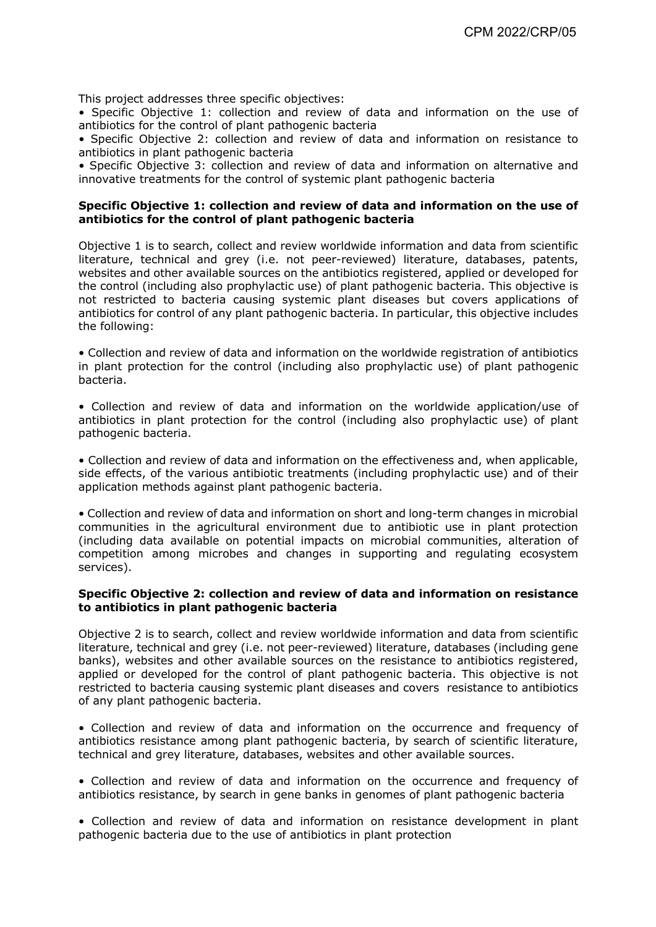This project addresses three specific objectives:

• Specific Objective 1: collection and review of data and information on the use of antibiotics for the control of plant pathogenic bacteria

• Specific Objective 2: collection and review of data and information on resistance to antibiotics in plant pathogenic bacteria

• Specific Objective 3: collection and review of data and information on alternative and innovative treatments for the control of systemic plant pathogenic bacteria

#### **Specific Objective 1: collection and review of data and information on the use of antibiotics for the control of plant pathogenic bacteria**

Objective 1 is to search, collect and review worldwide information and data from scientific literature, technical and grey (i.e. not peer-reviewed) literature, databases, patents, websites and other available sources on the antibiotics registered, applied or developed for the control (including also prophylactic use) of plant pathogenic bacteria. This objective is not restricted to bacteria causing systemic plant diseases but covers applications of antibiotics for control of any plant pathogenic bacteria. In particular, this objective includes the following:

• Collection and review of data and information on the worldwide registration of antibiotics in plant protection for the control (including also prophylactic use) of plant pathogenic bacteria.

• Collection and review of data and information on the worldwide application/use of antibiotics in plant protection for the control (including also prophylactic use) of plant pathogenic bacteria.

• Collection and review of data and information on the effectiveness and, when applicable, side effects, of the various antibiotic treatments (including prophylactic use) and of their application methods against plant pathogenic bacteria.

• Collection and review of data and information on short and long-term changes in microbial communities in the agricultural environment due to antibiotic use in plant protection (including data available on potential impacts on microbial communities, alteration of competition among microbes and changes in supporting and regulating ecosystem services).

#### **Specific Objective 2: collection and review of data and information on resistance to antibiotics in plant pathogenic bacteria**

Objective 2 is to search, collect and review worldwide information and data from scientific literature, technical and grey (i.e. not peer-reviewed) literature, databases (including gene banks), websites and other available sources on the resistance to antibiotics registered, applied or developed for the control of plant pathogenic bacteria. This objective is not restricted to bacteria causing systemic plant diseases and covers resistance to antibiotics of any plant pathogenic bacteria.

• Collection and review of data and information on the occurrence and frequency of antibiotics resistance among plant pathogenic bacteria, by search of scientific literature, technical and grey literature, databases, websites and other available sources.

• Collection and review of data and information on the occurrence and frequency of antibiotics resistance, by search in gene banks in genomes of plant pathogenic bacteria

• Collection and review of data and information on resistance development in plant pathogenic bacteria due to the use of antibiotics in plant protection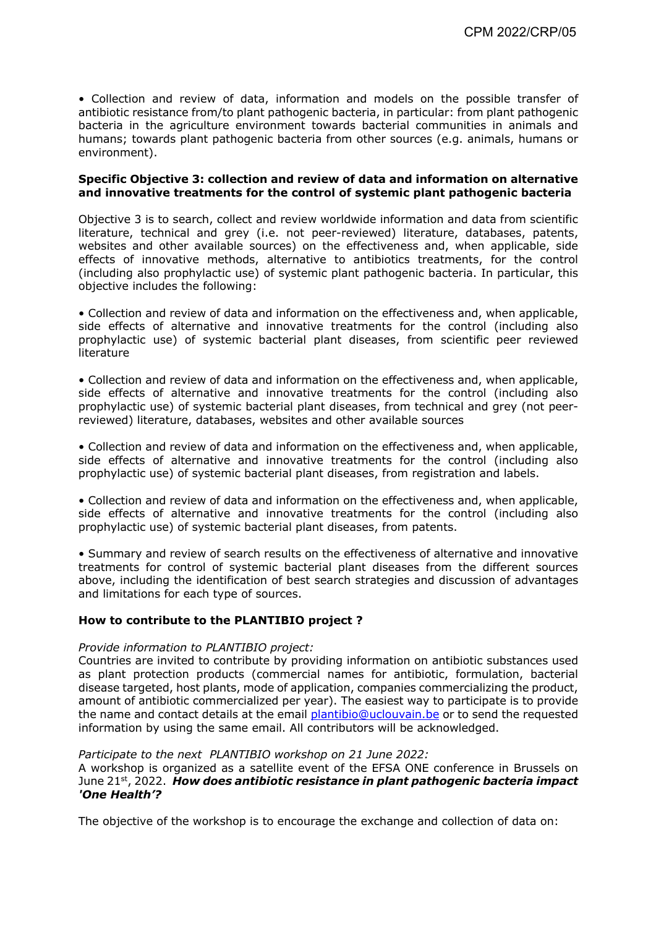• Collection and review of data, information and models on the possible transfer of antibiotic resistance from/to plant pathogenic bacteria, in particular: from plant pathogenic bacteria in the agriculture environment towards bacterial communities in animals and humans; towards plant pathogenic bacteria from other sources (e.g. animals, humans or environment).

#### **Specific Objective 3: collection and review of data and information on alternative and innovative treatments for the control of systemic plant pathogenic bacteria**

Objective 3 is to search, collect and review worldwide information and data from scientific literature, technical and grey (i.e. not peer-reviewed) literature, databases, patents, websites and other available sources) on the effectiveness and, when applicable, side effects of innovative methods, alternative to antibiotics treatments, for the control (including also prophylactic use) of systemic plant pathogenic bacteria. In particular, this objective includes the following:

• Collection and review of data and information on the effectiveness and, when applicable, side effects of alternative and innovative treatments for the control (including also prophylactic use) of systemic bacterial plant diseases, from scientific peer reviewed literature

• Collection and review of data and information on the effectiveness and, when applicable, side effects of alternative and innovative treatments for the control (including also prophylactic use) of systemic bacterial plant diseases, from technical and grey (not peerreviewed) literature, databases, websites and other available sources

• Collection and review of data and information on the effectiveness and, when applicable, side effects of alternative and innovative treatments for the control (including also prophylactic use) of systemic bacterial plant diseases, from registration and labels.

• Collection and review of data and information on the effectiveness and, when applicable, side effects of alternative and innovative treatments for the control (including also prophylactic use) of systemic bacterial plant diseases, from patents.

• Summary and review of search results on the effectiveness of alternative and innovative treatments for control of systemic bacterial plant diseases from the different sources above, including the identification of best search strategies and discussion of advantages and limitations for each type of sources.

## **How to contribute to the PLANTIBIO project ?**

#### *Provide information to PLANTIBIO project:*

Countries are invited to contribute by providing information on antibiotic substances used as plant protection products (commercial names for antibiotic, formulation, bacterial disease targeted, host plants, mode of application, companies commercializing the product, amount of antibiotic commercialized per year). The easiest way to participate is to provide the name and contact details at the email plantibio@uclouvain.be or to send the requested information by using the same email. All contributors will be acknowledged.

### *Participate to the next PLANTIBIO workshop on 21 June 2022:*

A workshop is organized as a satellite event of the EFSA ONE conference in Brussels on June 21st, 2022. *How does antibiotic resistance in plant pathogenic bacteria impact 'One Health'?* 

The objective of the workshop is to encourage the exchange and collection of data on: